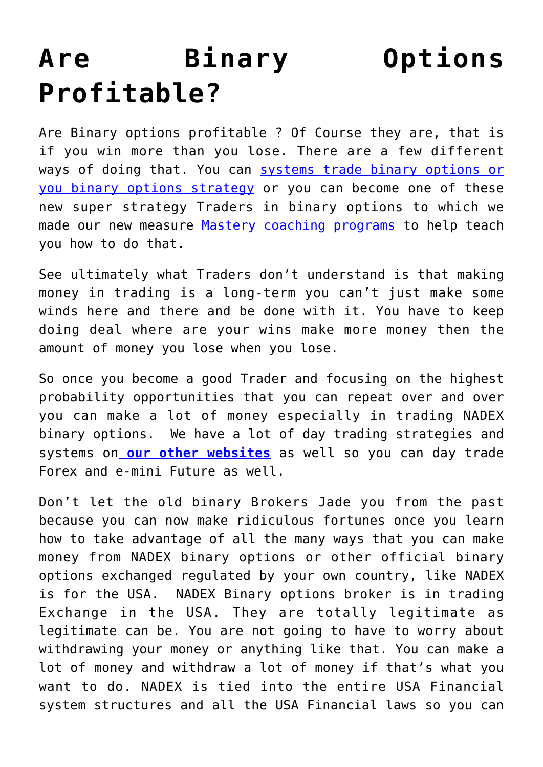## **[Are Binary Options](https://binaryoptionsauthority.com/are-binary-options-profitable/) [Profitable?](https://binaryoptionsauthority.com/are-binary-options-profitable/)**

Are Binary options profitable ? Of Course they are, that is if you win more than you lose. There are a few different ways of doing that. You can [systems trade binary options or](https://binaryoptionsauthority.com/products/) [you binary options strategy](https://binaryoptionsauthority.com/products/) or you can become one of these new super strategy Traders in binary options to which we made our new measure [Mastery coaching programs](https://binaryoptionsauthority.com/binary-options-authority-mastery-trading-coaching-programs/) to help teach you how to do that.

See ultimately what Traders don't understand is that making money in trading is a long-term you can't just make some winds here and there and be done with it. You have to keep doing deal where are your wins make more money then the amount of money you lose when you lose.

So once you become a good Trader and focusing on the highest probability opportunities that you can repeat over and over you can make a lot of money especially in trading NADEX binary options. We have a lot of day trading strategies and systems on **[our other websites](http://onlinetradingauthority.com)** as well so you can day trade Forex and e-mini Future as well.

Don't let the old binary Brokers Jade you from the past because you can now make ridiculous fortunes once you learn how to take advantage of all the many ways that you can make money from NADEX binary options or other official binary options exchanged regulated by your own country, like NADEX is for the USA. NADEX Binary options broker is in trading Exchange in the USA. They are totally legitimate as legitimate can be. You are not going to have to worry about withdrawing your money or anything like that. You can make a lot of money and withdraw a lot of money if that's what you want to do. NADEX is tied into the entire USA Financial system structures and all the USA Financial laws so you can